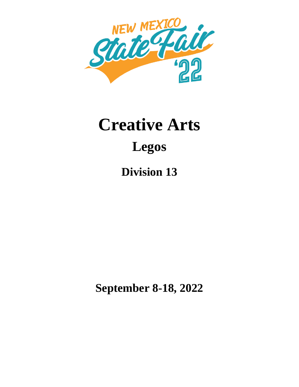

# **Creative Arts Legos**

**Division 13**

**September 8-18, 2022**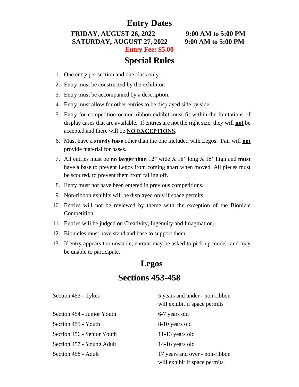#### **Entry Dates**

**FRIDAY, AUGUST 26, 2022 9:00 AM to 5:00 PM SATURDAY, AUGUST 27, 2022 9:00 AM to 5:00 PM Entry Fee: \$5.00**

## **Special Rules**

- 1. One entry per section and one class only.
- 2. Entry must be constructed by the exhibitor.
- 3. Entry must be accompanied by a description.
- 4. Entry must allow for other entries to be displayed side by side.
- 5. Entry for competition or non-ribbon exhibit must fit within the limitations of display cases that are available. If entries are not the right size, they will **not** be accepted and there will be **NO EXCEPTIONS**.
- 6. Must have a **sturdy base** other than the one included with Legos. Fair will **not** provide material for bases.
- 7. All entries must be **no larger than** 12" wide X 18" long X 16" high and **must** have a base to prevent Legos from coming apart when moved. All pieces must be scoured, to prevent them from falling off.
- 8. Entry must not have been entered in previous competitions.
- 9. Non-ribbon exhibits will be displayed only if space permits.
- 10. Entries will not be reviewed by theme with the exception of the Bionicle Competition.
- 11. Entries will be judged on Creativity, Ingenuity and Imagination.
- 12. Bionicles must have stand and base to support them.
- 13. If entry appears too unstable, entrant may be asked to pick up model, and may be unable to participate.

# **Legos Sections 453-458**

| Section 453 - Tykes        | 5 years and under - non-ribbon<br>will exhibit if space permits |
|----------------------------|-----------------------------------------------------------------|
| Section 454 - Junior Youth | 6-7 years old                                                   |
| Section 455 - Youth        | 8-10 years old                                                  |
| Section 456 - Senior Youth | 11-13 years old                                                 |
| Section 457 - Young Adult  | 14-16 years old                                                 |
| Section 458 - Adult        | 17 years and over - non-ribbon<br>will exhibit if space permits |